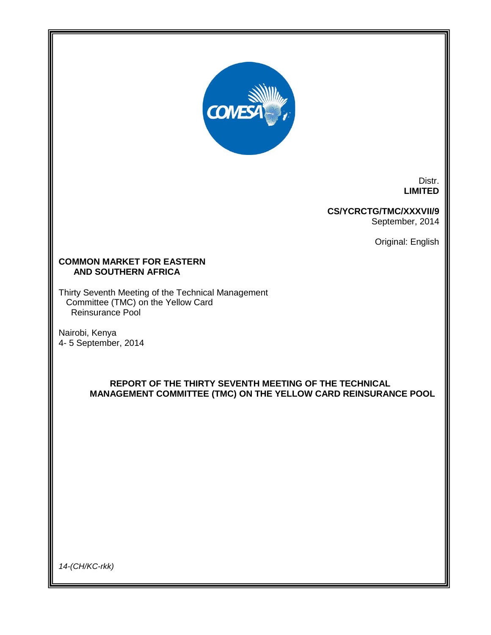

Distr. **LIMITED**

## **CS/YCRCTG/TMC/XXXVII/9** September, 2014

Original: English

## **COMMON MARKET FOR EASTERN AND SOUTHERN AFRICA**

Thirty Seventh Meeting of the Technical Management Committee (TMC) on the Yellow Card Reinsurance Pool

Nairobi, Kenya 4- 5 September, 2014

# **REPORT OF THE THIRTY SEVENTH MEETING OF THE TECHNICAL MANAGEMENT COMMITTEE (TMC) ON THE YELLOW CARD REINSURANCE POOL**

*14-(CH/KC-rkk)*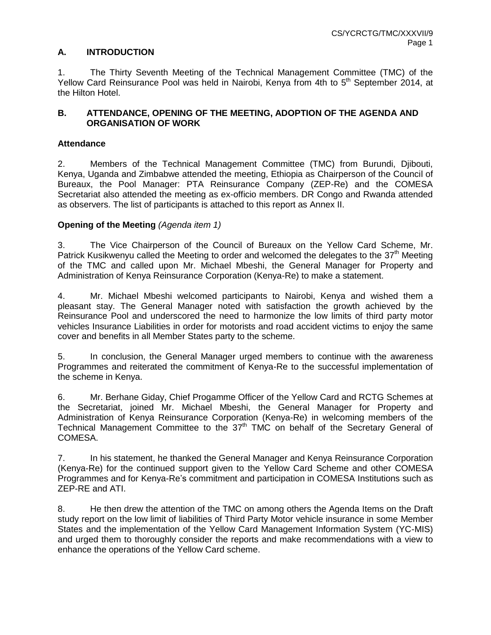## **A. INTRODUCTION**

1. The Thirty Seventh Meeting of the Technical Management Committee (TMC) of the Yellow Card Reinsurance Pool was held in Nairobi, Kenya from 4th to 5<sup>th</sup> September 2014, at the Hilton Hotel.

## **B. ATTENDANCE, OPENING OF THE MEETING, ADOPTION OF THE AGENDA AND ORGANISATION OF WORK**

## **Attendance**

2. Members of the Technical Management Committee (TMC) from Burundi, Djibouti, Kenya, Uganda and Zimbabwe attended the meeting, Ethiopia as Chairperson of the Council of Bureaux, the Pool Manager: PTA Reinsurance Company (ZEP-Re) and the COMESA Secretariat also attended the meeting as ex-officio members. DR Congo and Rwanda attended as observers. The list of participants is attached to this report as Annex II.

## **Opening of the Meeting** *(Agenda item 1)*

3. The Vice Chairperson of the Council of Bureaux on the Yellow Card Scheme, Mr. Patrick Kusikwenyu called the Meeting to order and welcomed the delegates to the 37<sup>th</sup> Meeting of the TMC and called upon Mr. Michael Mbeshi, the General Manager for Property and Administration of Kenya Reinsurance Corporation (Kenya-Re) to make a statement.

4. Mr. Michael Mbeshi welcomed participants to Nairobi, Kenya and wished them a pleasant stay. The General Manager noted with satisfaction the growth achieved by the Reinsurance Pool and underscored the need to harmonize the low limits of third party motor vehicles Insurance Liabilities in order for motorists and road accident victims to enjoy the same cover and benefits in all Member States party to the scheme.

5. In conclusion, the General Manager urged members to continue with the awareness Programmes and reiterated the commitment of Kenya-Re to the successful implementation of the scheme in Kenya.

6. Mr. Berhane Giday, Chief Progamme Officer of the Yellow Card and RCTG Schemes at the Secretariat, joined Mr. Michael Mbeshi, the General Manager for Property and Administration of Kenya Reinsurance Corporation (Kenya-Re) in welcoming members of the Technical Management Committee to the 37<sup>th</sup> TMC on behalf of the Secretary General of COMESA.

7. In his statement, he thanked the General Manager and Kenya Reinsurance Corporation (Kenya-Re) for the continued support given to the Yellow Card Scheme and other COMESA Programmes and for Kenya-Re's commitment and participation in COMESA Institutions such as ZEP-RE and ATI.

8. He then drew the attention of the TMC on among others the Agenda Items on the Draft study report on the low limit of liabilities of Third Party Motor vehicle insurance in some Member States and the implementation of the Yellow Card Management Information System (YC-MIS) and urged them to thoroughly consider the reports and make recommendations with a view to enhance the operations of the Yellow Card scheme.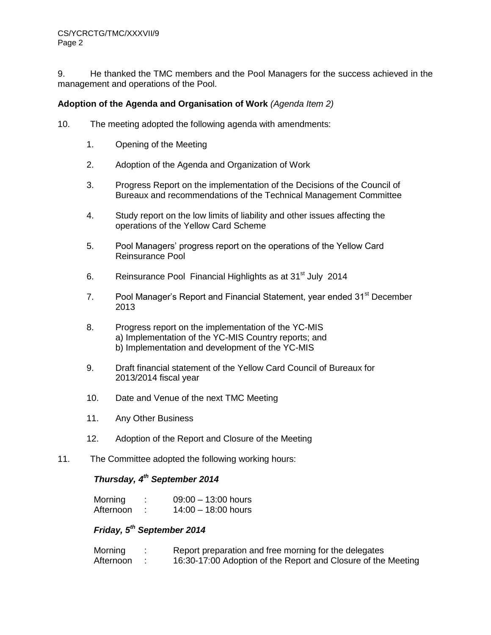9. He thanked the TMC members and the Pool Managers for the success achieved in the management and operations of the Pool.

### **Adoption of the Agenda and Organisation of Work** *(Agenda Item 2)*

- 10. The meeting adopted the following agenda with amendments:
	- 1. Opening of the Meeting
	- 2. Adoption of the Agenda and Organization of Work
	- 3. Progress Report on the implementation of the Decisions of the Council of Bureaux and recommendations of the Technical Management Committee
	- 4. Study report on the low limits of liability and other issues affecting the operations of the Yellow Card Scheme
	- 5. Pool Managers' progress report on the operations of the Yellow Card Reinsurance Pool
	- 6. Reinsurance Pool Financial Highlights as at 31<sup>st</sup> July 2014
	- 7. Pool Manager's Report and Financial Statement, year ended 31<sup>st</sup> December 2013
	- 8. Progress report on the implementation of the YC-MIS a) Implementation of the YC-MIS Country reports; and b) Implementation and development of the YC-MIS
	- 9. Draft financial statement of the Yellow Card Council of Bureaux for 2013/2014 fiscal year
	- 10. Date and Venue of the next TMC Meeting
	- 11. Any Other Business
	- 12. Adoption of the Report and Closure of the Meeting
- 11. The Committee adopted the following working hours:

## *Thursday, 4 th September 2014*

| Morning   | ٠<br>٠ | $09:00 - 13:00$ hours |
|-----------|--------|-----------------------|
| Afternoon |        | $14:00 - 18:00$ hours |

# *Friday, 5 th September 2014*

| Morning   | Report preparation and free morning for the delegates         |
|-----------|---------------------------------------------------------------|
| Afternoon | 16:30-17:00 Adoption of the Report and Closure of the Meeting |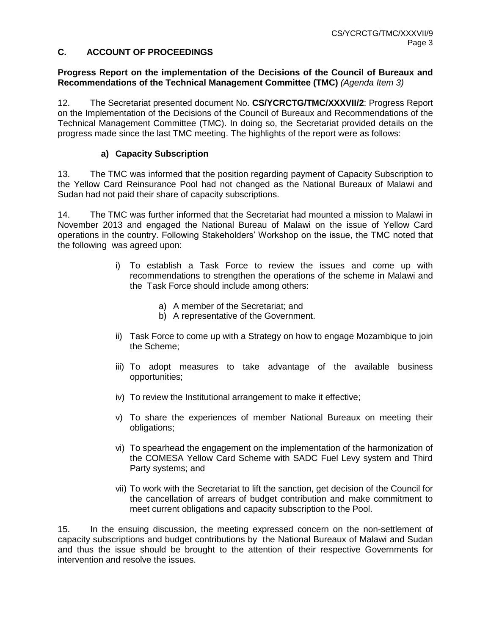## **C. ACCOUNT OF PROCEEDINGS**

#### **Progress Report on the implementation of the Decisions of the Council of Bureaux and Recommendations of the Technical Management Committee (TMC)** *(Agenda Item 3)*

12. The Secretariat presented document No. **CS/YCRCTG/TMC/XXXVII/2**: Progress Report on the Implementation of the Decisions of the Council of Bureaux and Recommendations of the Technical Management Committee (TMC). In doing so, the Secretariat provided details on the progress made since the last TMC meeting. The highlights of the report were as follows:

#### **a) Capacity Subscription**

13. The TMC was informed that the position regarding payment of Capacity Subscription to the Yellow Card Reinsurance Pool had not changed as the National Bureaux of Malawi and Sudan had not paid their share of capacity subscriptions.

14. The TMC was further informed that the Secretariat had mounted a mission to Malawi in November 2013 and engaged the National Bureau of Malawi on the issue of Yellow Card operations in the country. Following Stakeholders' Workshop on the issue, the TMC noted that the following was agreed upon:

- i) To establish a Task Force to review the issues and come up with recommendations to strengthen the operations of the scheme in Malawi and the Task Force should include among others:
	- a) A member of the Secretariat; and
	- b) A representative of the Government.
- ii) Task Force to come up with a Strategy on how to engage Mozambique to join the Scheme;
- iii) To adopt measures to take advantage of the available business opportunities;
- iv) To review the Institutional arrangement to make it effective;
- v) To share the experiences of member National Bureaux on meeting their obligations;
- vi) To spearhead the engagement on the implementation of the harmonization of the COMESA Yellow Card Scheme with SADC Fuel Levy system and Third Party systems; and
- vii) To work with the Secretariat to lift the sanction, get decision of the Council for the cancellation of arrears of budget contribution and make commitment to meet current obligations and capacity subscription to the Pool.

15. In the ensuing discussion, the meeting expressed concern on the non-settlement of capacity subscriptions and budget contributions by the National Bureaux of Malawi and Sudan and thus the issue should be brought to the attention of their respective Governments for intervention and resolve the issues.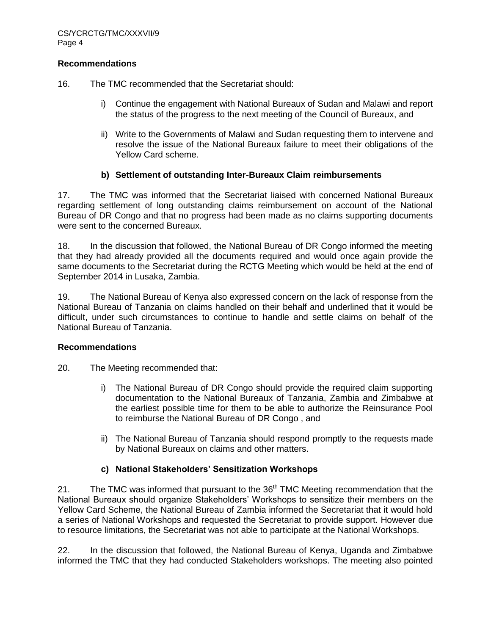#### **Recommendations**

16. The TMC recommended that the Secretariat should:

- i) Continue the engagement with National Bureaux of Sudan and Malawi and report the status of the progress to the next meeting of the Council of Bureaux, and
- ii) Write to the Governments of Malawi and Sudan requesting them to intervene and resolve the issue of the National Bureaux failure to meet their obligations of the Yellow Card scheme.

## **b) Settlement of outstanding Inter-Bureaux Claim reimbursements**

17. The TMC was informed that the Secretariat liaised with concerned National Bureaux regarding settlement of long outstanding claims reimbursement on account of the National Bureau of DR Congo and that no progress had been made as no claims supporting documents were sent to the concerned Bureaux.

18. In the discussion that followed, the National Bureau of DR Congo informed the meeting that they had already provided all the documents required and would once again provide the same documents to the Secretariat during the RCTG Meeting which would be held at the end of September 2014 in Lusaka, Zambia.

19. The National Bureau of Kenya also expressed concern on the lack of response from the National Bureau of Tanzania on claims handled on their behalf and underlined that it would be difficult, under such circumstances to continue to handle and settle claims on behalf of the National Bureau of Tanzania.

## **Recommendations**

- 20. The Meeting recommended that:
	- i) The National Bureau of DR Congo should provide the required claim supporting documentation to the National Bureaux of Tanzania, Zambia and Zimbabwe at the earliest possible time for them to be able to authorize the Reinsurance Pool to reimburse the National Bureau of DR Congo , and
	- ii) The National Bureau of Tanzania should respond promptly to the requests made by National Bureaux on claims and other matters.

## **c) National Stakeholders' Sensitization Workshops**

21. The TMC was informed that pursuant to the  $36<sup>th</sup>$  TMC Meeting recommendation that the National Bureaux should organize Stakeholders' Workshops to sensitize their members on the Yellow Card Scheme, the National Bureau of Zambia informed the Secretariat that it would hold a series of National Workshops and requested the Secretariat to provide support. However due to resource limitations, the Secretariat was not able to participate at the National Workshops.

22. In the discussion that followed, the National Bureau of Kenya, Uganda and Zimbabwe informed the TMC that they had conducted Stakeholders workshops. The meeting also pointed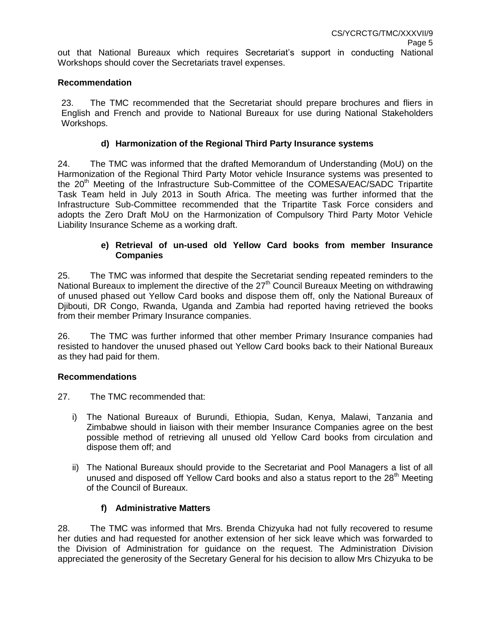out that National Bureaux which requires Secretariat's support in conducting National Workshops should cover the Secretariats travel expenses.

#### **Recommendation**

23. The TMC recommended that the Secretariat should prepare brochures and fliers in English and French and provide to National Bureaux for use during National Stakeholders Workshops.

#### **d) Harmonization of the Regional Third Party Insurance systems**

24. The TMC was informed that the drafted Memorandum of Understanding (MoU) on the Harmonization of the Regional Third Party Motor vehicle Insurance systems was presented to the 20<sup>th</sup> Meeting of the Infrastructure Sub-Committee of the COMESA/EAC/SADC Tripartite Task Team held in July 2013 in South Africa. The meeting was further informed that the Infrastructure Sub-Committee recommended that the Tripartite Task Force considers and adopts the Zero Draft MoU on the Harmonization of Compulsory Third Party Motor Vehicle Liability Insurance Scheme as a working draft.

### **e) Retrieval of un-used old Yellow Card books from member Insurance Companies**

25. The TMC was informed that despite the Secretariat sending repeated reminders to the National Bureaux to implement the directive of the  $27<sup>th</sup>$  Council Bureaux Meeting on withdrawing of unused phased out Yellow Card books and dispose them off, only the National Bureaux of Djibouti, DR Congo, Rwanda, Uganda and Zambia had reported having retrieved the books from their member Primary Insurance companies.

26. The TMC was further informed that other member Primary Insurance companies had resisted to handover the unused phased out Yellow Card books back to their National Bureaux as they had paid for them.

#### **Recommendations**

- 27. The TMC recommended that:
	- i) The National Bureaux of Burundi, Ethiopia, Sudan, Kenya, Malawi, Tanzania and Zimbabwe should in liaison with their member Insurance Companies agree on the best possible method of retrieving all unused old Yellow Card books from circulation and dispose them off; and
	- ii) The National Bureaux should provide to the Secretariat and Pool Managers a list of all unused and disposed off Yellow Card books and also a status report to the 28<sup>th</sup> Meeting of the Council of Bureaux.

## **f) Administrative Matters**

28. The TMC was informed that Mrs. Brenda Chizyuka had not fully recovered to resume her duties and had requested for another extension of her sick leave which was forwarded to the Division of Administration for guidance on the request. The Administration Division appreciated the generosity of the Secretary General for his decision to allow Mrs Chizyuka to be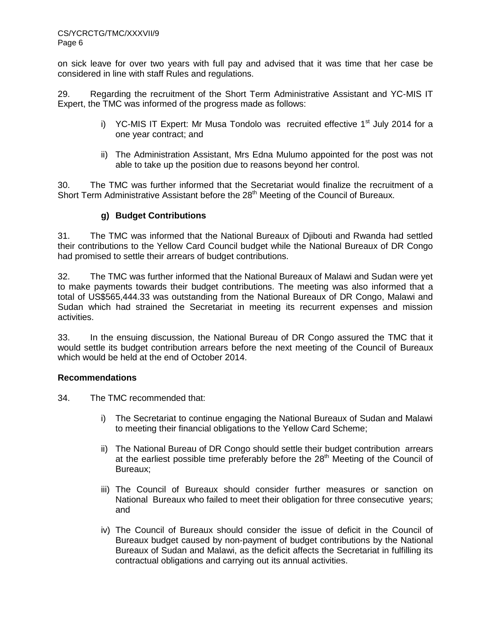on sick leave for over two years with full pay and advised that it was time that her case be considered in line with staff Rules and regulations.

29. Regarding the recruitment of the Short Term Administrative Assistant and YC-MIS IT Expert, the TMC was informed of the progress made as follows:

- i) YC-MIS IT Expert: Mr Musa Tondolo was recruited effective 1<sup>st</sup> July 2014 for a one year contract; and
- ii) The Administration Assistant, Mrs Edna Mulumo appointed for the post was not able to take up the position due to reasons beyond her control.

30. The TMC was further informed that the Secretariat would finalize the recruitment of a Short Term Administrative Assistant before the 28<sup>th</sup> Meeting of the Council of Bureaux.

## **g) Budget Contributions**

31. The TMC was informed that the National Bureaux of Djibouti and Rwanda had settled their contributions to the Yellow Card Council budget while the National Bureaux of DR Congo had promised to settle their arrears of budget contributions.

32. The TMC was further informed that the National Bureaux of Malawi and Sudan were yet to make payments towards their budget contributions. The meeting was also informed that a total of US\$565,444.33 was outstanding from the National Bureaux of DR Congo, Malawi and Sudan which had strained the Secretariat in meeting its recurrent expenses and mission activities.

33. In the ensuing discussion, the National Bureau of DR Congo assured the TMC that it would settle its budget contribution arrears before the next meeting of the Council of Bureaux which would be held at the end of October 2014.

## **Recommendations**

- 34. The TMC recommended that:
	- i) The Secretariat to continue engaging the National Bureaux of Sudan and Malawi to meeting their financial obligations to the Yellow Card Scheme;
	- ii) The National Bureau of DR Congo should settle their budget contribution arrears at the earliest possible time preferably before the 28<sup>th</sup> Meeting of the Council of Bureaux;
	- iii) The Council of Bureaux should consider further measures or sanction on National Bureaux who failed to meet their obligation for three consecutive years; and
	- iv) The Council of Bureaux should consider the issue of deficit in the Council of Bureaux budget caused by non-payment of budget contributions by the National Bureaux of Sudan and Malawi, as the deficit affects the Secretariat in fulfilling its contractual obligations and carrying out its annual activities.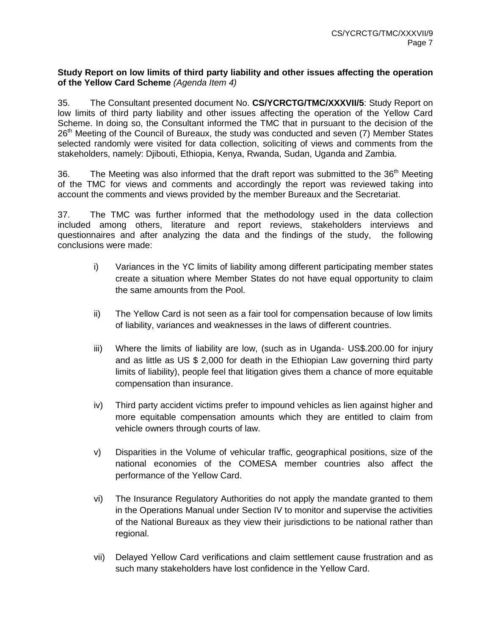#### **Study Report on low limits of third party liability and other issues affecting the operation of the Yellow Card Scheme** *(Agenda Item 4)*

35. The Consultant presented document No. **CS/YCRCTG/TMC/XXXVII/5**: Study Report on low limits of third party liability and other issues affecting the operation of the Yellow Card Scheme. In doing so, the Consultant informed the TMC that in pursuant to the decision of the 26<sup>th</sup> Meeting of the Council of Bureaux, the study was conducted and seven (7) Member States selected randomly were visited for data collection, soliciting of views and comments from the stakeholders, namely: Djibouti, Ethiopia, Kenya, Rwanda, Sudan, Uganda and Zambia.

36. The Meeting was also informed that the draft report was submitted to the 36<sup>th</sup> Meeting of the TMC for views and comments and accordingly the report was reviewed taking into account the comments and views provided by the member Bureaux and the Secretariat.

37. The TMC was further informed that the methodology used in the data collection included among others, literature and report reviews, stakeholders interviews and questionnaires and after analyzing the data and the findings of the study, the following conclusions were made:

- i) Variances in the YC limits of liability among different participating member states create a situation where Member States do not have equal opportunity to claim the same amounts from the Pool.
- ii) The Yellow Card is not seen as a fair tool for compensation because of low limits of liability, variances and weaknesses in the laws of different countries.
- iii) Where the limits of liability are low, (such as in Uganda- US\$.200.00 for injury and as little as US \$ 2,000 for death in the Ethiopian Law governing third party limits of liability), people feel that litigation gives them a chance of more equitable compensation than insurance.
- iv) Third party accident victims prefer to impound vehicles as lien against higher and more equitable compensation amounts which they are entitled to claim from vehicle owners through courts of law.
- v) Disparities in the Volume of vehicular traffic, geographical positions, size of the national economies of the COMESA member countries also affect the performance of the Yellow Card.
- vi) The Insurance Regulatory Authorities do not apply the mandate granted to them in the Operations Manual under Section IV to monitor and supervise the activities of the National Bureaux as they view their jurisdictions to be national rather than regional.
- vii) Delayed Yellow Card verifications and claim settlement cause frustration and as such many stakeholders have lost confidence in the Yellow Card.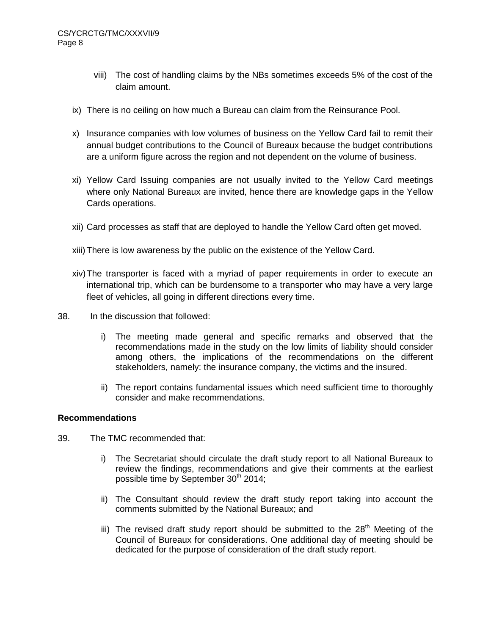- viii) The cost of handling claims by the NBs sometimes exceeds 5% of the cost of the claim amount.
- ix) There is no ceiling on how much a Bureau can claim from the Reinsurance Pool.
- x) Insurance companies with low volumes of business on the Yellow Card fail to remit their annual budget contributions to the Council of Bureaux because the budget contributions are a uniform figure across the region and not dependent on the volume of business.
- xi) Yellow Card Issuing companies are not usually invited to the Yellow Card meetings where only National Bureaux are invited, hence there are knowledge gaps in the Yellow Cards operations.
- xii) Card processes as staff that are deployed to handle the Yellow Card often get moved.
- xiii)There is low awareness by the public on the existence of the Yellow Card.
- xiv)The transporter is faced with a myriad of paper requirements in order to execute an international trip, which can be burdensome to a transporter who may have a very large fleet of vehicles, all going in different directions every time.
- 38. In the discussion that followed:
	- i) The meeting made general and specific remarks and observed that the recommendations made in the study on the low limits of liability should consider among others, the implications of the recommendations on the different stakeholders, namely: the insurance company, the victims and the insured.
	- ii) The report contains fundamental issues which need sufficient time to thoroughly consider and make recommendations.

#### **Recommendations**

- 39. The TMC recommended that:
	- i) The Secretariat should circulate the draft study report to all National Bureaux to review the findings, recommendations and give their comments at the earliest possible time by September 30<sup>th</sup> 2014;
	- ii) The Consultant should review the draft study report taking into account the comments submitted by the National Bureaux; and
	- iii) The revised draft study report should be submitted to the  $28<sup>th</sup>$  Meeting of the Council of Bureaux for considerations. One additional day of meeting should be dedicated for the purpose of consideration of the draft study report.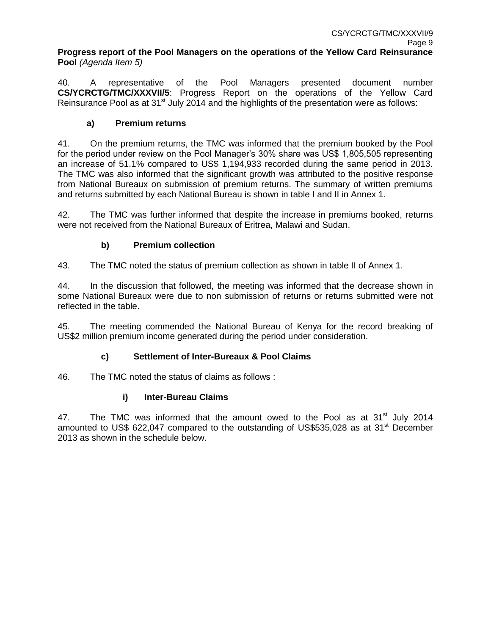**Progress report of the Pool Managers on the operations of the Yellow Card Reinsurance Pool** *(Agenda Item 5)*

40. A representative of the Pool Managers presented document number **CS/YCRCTG/TMC/XXXVII/5**: Progress Report on the operations of the Yellow Card Reinsurance Pool as at 31<sup>st</sup> July 2014 and the highlights of the presentation were as follows:

# **a) Premium returns**

41. On the premium returns, the TMC was informed that the premium booked by the Pool for the period under review on the Pool Manager's 30% share was US\$ 1,805,505 representing an increase of 51.1% compared to US\$ 1,194,933 recorded during the same period in 2013. The TMC was also informed that the significant growth was attributed to the positive response from National Bureaux on submission of premium returns. The summary of written premiums and returns submitted by each National Bureau is shown in table I and II in Annex 1.

42. The TMC was further informed that despite the increase in premiums booked, returns were not received from the National Bureaux of Eritrea, Malawi and Sudan.

# **b) Premium collection**

43. The TMC noted the status of premium collection as shown in table II of Annex 1.

44. In the discussion that followed, the meeting was informed that the decrease shown in some National Bureaux were due to non submission of returns or returns submitted were not reflected in the table.

45. The meeting commended the National Bureau of Kenya for the record breaking of US\$2 million premium income generated during the period under consideration.

## **c) Settlement of Inter-Bureaux & Pool Claims**

46. The TMC noted the status of claims as follows :

## **i) Inter-Bureau Claims**

47. The TMC was informed that the amount owed to the Pool as at  $31<sup>st</sup>$  July 2014 amounted to US\$ 622,047 compared to the outstanding of US\$535,028 as at  $31<sup>st</sup>$  December 2013 as shown in the schedule below.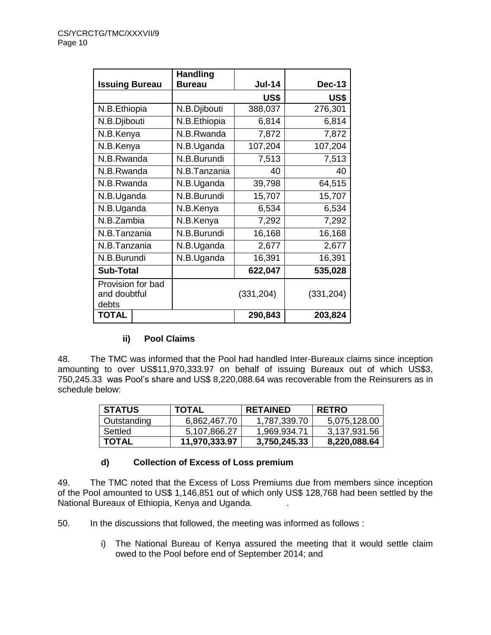|                                            | <b>Handling</b> |               |               |  |
|--------------------------------------------|-----------------|---------------|---------------|--|
| <b>Issuing Bureau</b>                      | <b>Bureau</b>   | <b>Jul-14</b> | <b>Dec-13</b> |  |
|                                            |                 | US\$          | US\$          |  |
| N.B.Ethiopia                               | N.B.Djibouti    | 388,037       | 276,301       |  |
| N.B.Djibouti                               | N.B.Ethiopia    | 6,814         | 6,814         |  |
| N.B.Kenya                                  | N.B.Rwanda      | 7,872         | 7,872         |  |
| N.B.Kenya                                  | N.B.Uganda      | 107,204       | 107,204       |  |
| N.B.Rwanda                                 | N.B.Burundi     | 7,513         | 7,513         |  |
| N.B.Rwanda                                 | N.B.Tanzania    | 40            | 40            |  |
| N.B.Rwanda                                 | N.B.Uganda      | 39,798        | 64,515        |  |
| N.B.Uganda                                 | N.B.Burundi     | 15,707        | 15,707        |  |
| N.B.Uganda                                 | N.B.Kenya       | 6,534         | 6,534         |  |
| N.B.Zambia                                 | N.B.Kenya       | 7,292         | 7,292         |  |
| N.B.Tanzania                               | N.B.Burundi     | 16,168        | 16,168        |  |
| N.B.Tanzania                               | N.B.Uganda      | 2,677         | 2,677         |  |
| N.B.Burundi                                | N.B.Uganda      | 16,391        | 16,391        |  |
| <b>Sub-Total</b>                           |                 | 622,047       | 535,028       |  |
| Provision for bad<br>and doubtful<br>debts |                 | (331, 204)    | (331, 204)    |  |
| <b>TOTAL</b>                               |                 | 290,843       | 203,824       |  |

## **ii) Pool Claims**

48. The TMC was informed that the Pool had handled Inter-Bureaux claims since inception amounting to over US\$11,970,333.97 on behalf of issuing Bureaux out of which US\$3, 750,245.33 was Pool's share and US\$ 8,220,088.64 was recoverable from the Reinsurers as in schedule below:

| <b>STATUS</b> | <b>TOTAL</b>  | <b>RETAINED</b> | <b>RETRO</b> |
|---------------|---------------|-----------------|--------------|
| Outstanding   | 6,862,467.70  | 1,787,339.70    | 5,075,128.00 |
| Settled       | 5,107,866.27  | 1,969,934.71    | 3,137,931.56 |
| <b>TOTAL</b>  | 11,970,333.97 | 3,750,245.33    | 8,220,088.64 |

## **d) Collection of Excess of Loss premium**

49. The TMC noted that the Excess of Loss Premiums due from members since inception of the Pool amounted to US\$ 1,146,851 out of which only US\$ 128,768 had been settled by the National Bureaux of Ethiopia, Kenya and Uganda. .

50. In the discussions that followed, the meeting was informed as follows :

i) The National Bureau of Kenya assured the meeting that it would settle claim owed to the Pool before end of September 2014; and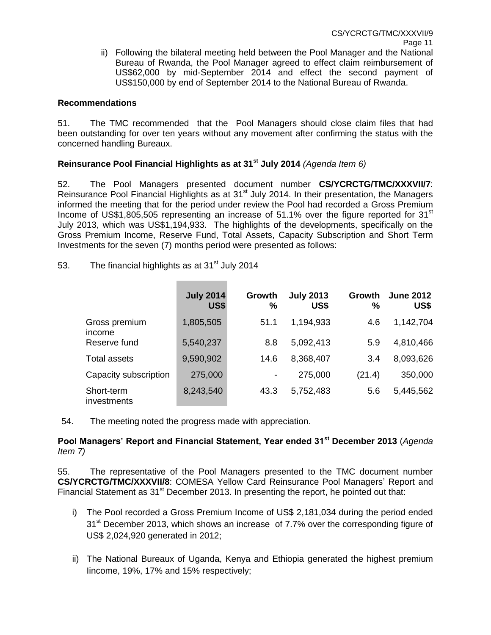ii) Following the bilateral meeting held between the Pool Manager and the National Bureau of Rwanda, the Pool Manager agreed to effect claim reimbursement of US\$62,000 by mid-September 2014 and effect the second payment of US\$150,000 by end of September 2014 to the National Bureau of Rwanda.

### **Recommendations**

51. The TMC recommended that the Pool Managers should close claim files that had been outstanding for over ten years without any movement after confirming the status with the concerned handling Bureaux.

# **Reinsurance Pool Financial Highlights as at 31st July 2014** *(Agenda Item 6)*

52. The Pool Managers presented document number **CS/YCRCTG/TMC/XXXVII/7**: Reinsurance Pool Financial Highlights as at 31<sup>st</sup> July 2014. In their presentation, the Managers informed the meeting that for the period under review the Pool had recorded a Gross Premium Income of US\$1,805,505 representing an increase of  $51.1\%$  over the figure reported for  $31<sup>st</sup>$ July 2013, which was US\$1,194,933. The highlights of the developments, specifically on the Gross Premium Income, Reserve Fund, Total Assets, Capacity Subscription and Short Term Investments for the seven (7) months period were presented as follows:

53. The financial highlights as at  $31<sup>st</sup>$  July 2014

|                           | <b>July 2014</b><br><b>US\$</b> | Growth<br>% | <b>July 2013</b><br>US\$ | Growth<br>% | <b>June 2012</b><br>US\$ |
|---------------------------|---------------------------------|-------------|--------------------------|-------------|--------------------------|
| Gross premium<br>income   | 1,805,505                       | 51.1        | 1,194,933                | 4.6         | 1,142,704                |
| Reserve fund              | 5,540,237                       | 8.8         | 5,092,413                | 5.9         | 4,810,466                |
| <b>Total assets</b>       | 9,590,902                       | 14.6        | 8,368,407                | 3.4         | 8,093,626                |
| Capacity subscription     | 275,000                         |             | 275,000                  | (21.4)      | 350,000                  |
| Short-term<br>investments | 8,243,540                       | 43.3        | 5,752,483                | 5.6         | 5,445,562                |

54. The meeting noted the progress made with appreciation.

## **Pool Managers' Report and Financial Statement, Year ended 31st December 2013** (*Agenda Item 7)*

55. The representative of the Pool Managers presented to the TMC document number **CS/YCRCTG/TMC/XXXVII/8**: COMESA Yellow Card Reinsurance Pool Managers' Report and Financial Statement as 31<sup>st</sup> December 2013. In presenting the report, he pointed out that:

- i) The Pool recorded a Gross Premium Income of US\$ 2,181,034 during the period ended  $31<sup>st</sup>$  December 2013, which shows an increase of 7.7% over the corresponding figure of US\$ 2,024,920 generated in 2012;
- ii) The National Bureaux of Uganda, Kenya and Ethiopia generated the highest premium Iincome, 19%, 17% and 15% respectively;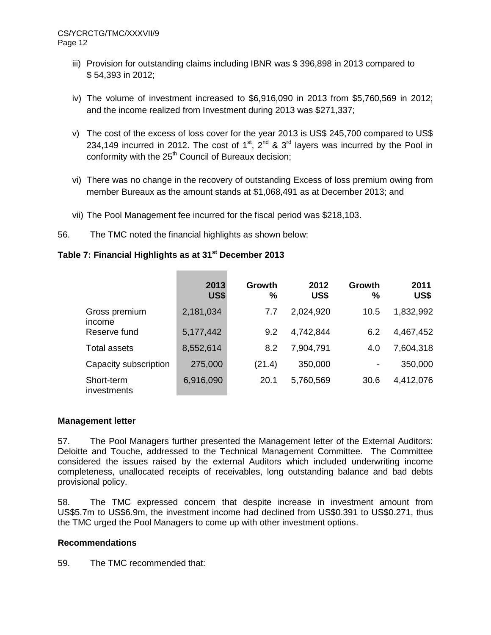- iii) Provision for outstanding claims including IBNR was \$ 396,898 in 2013 compared to \$ 54,393 in 2012;
- iv) The volume of investment increased to \$6,916,090 in 2013 from \$5,760,569 in 2012; and the income realized from Investment during 2013 was \$271,337;
- v) The cost of the excess of loss cover for the year 2013 is US\$ 245,700 compared to US\$ 234,149 incurred in 2012. The cost of  $1^{st}$ ,  $2^{nd}$  &  $3^{rd}$  layers was incurred by the Pool in conformity with the  $25<sup>th</sup>$  Council of Bureaux decision:
- vi) There was no change in the recovery of outstanding Excess of loss premium owing from member Bureaux as the amount stands at \$1,068,491 as at December 2013; and
- vii) The Pool Management fee incurred for the fiscal period was \$218,103.

**Contract Contract Contract Contract** 

56. The TMC noted the financial highlights as shown below:

# **Table 7: Financial Highlights as at 31st December 2013**

|                           | 2013<br><b>US\$</b> | Growth<br>% | 2012<br>US\$ | Growth<br>℅    | 2011<br>US\$ |
|---------------------------|---------------------|-------------|--------------|----------------|--------------|
| Gross premium<br>income   | 2,181,034           | 7.7         | 2,024,920    | 10.5           | 1,832,992    |
| Reserve fund              | 5,177,442           | 9.2         | 4,742,844    | 6.2            | 4,467,452    |
| <b>Total assets</b>       | 8,552,614           | 8.2         | 7,904,791    | 4.0            | 7,604,318    |
| Capacity subscription     | 275,000             | (21.4)      | 350,000      | $\blacksquare$ | 350,000      |
| Short-term<br>investments | 6,916,090           | 20.1        | 5,760,569    | 30.6           | 4,412,076    |

## **Management letter**

57. The Pool Managers further presented the Management letter of the External Auditors: Deloitte and Touche, addressed to the Technical Management Committee. The Committee considered the issues raised by the external Auditors which included underwriting income completeness, unallocated receipts of receivables, long outstanding balance and bad debts provisional policy.

58. The TMC expressed concern that despite increase in investment amount from US\$5.7m to US\$6.9m, the investment income had declined from US\$0.391 to US\$0.271, thus the TMC urged the Pool Managers to come up with other investment options.

## **Recommendations**

59. The TMC recommended that: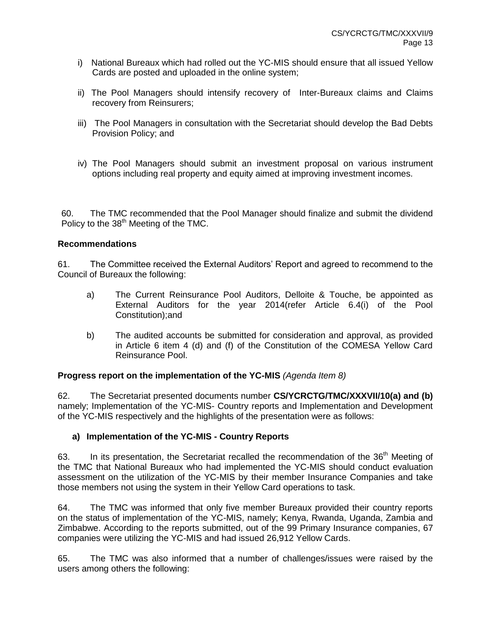- i)National Bureaux which had rolled out the YC-MIS should ensure that all issued Yellow Cards are posted and uploaded in the online system;
- ii) The Pool Managers should intensify recovery of Inter-Bureaux claims and Claims recovery from Reinsurers;
- iii) The Pool Managers in consultation with the Secretariat should develop the Bad Debts Provision Policy; and
- iv) The Pool Managers should submit an investment proposal on various instrument options including real property and equity aimed at improving investment incomes.

60. The TMC recommended that the Pool Manager should finalize and submit the dividend Policy to the 38<sup>th</sup> Meeting of the TMC.

#### **Recommendations**

61. The Committee received the External Auditors' Report and agreed to recommend to the Council of Bureaux the following:

- a) The Current Reinsurance Pool Auditors, Delloite & Touche, be appointed as External Auditors for the year 2014(refer Article 6.4(i) of the Pool Constitution);and
- b) The audited accounts be submitted for consideration and approval, as provided in Article 6 item 4 (d) and (f) of the Constitution of the COMESA Yellow Card Reinsurance Pool.

#### **Progress report on the implementation of the YC-MIS** *(Agenda Item 8)*

62. The Secretariat presented documents number **CS/YCRCTG/TMC/XXXVII/10(a) and (b)** namely; Implementation of the YC-MIS- Country reports and Implementation and Development of the YC-MIS respectively and the highlights of the presentation were as follows:

## **a) Implementation of the YC-MIS - Country Reports**

63. In its presentation, the Secretariat recalled the recommendation of the 36<sup>th</sup> Meeting of the TMC that National Bureaux who had implemented the YC-MIS should conduct evaluation assessment on the utilization of the YC-MIS by their member Insurance Companies and take those members not using the system in their Yellow Card operations to task.

64. The TMC was informed that only five member Bureaux provided their country reports on the status of implementation of the YC-MIS, namely; Kenya, Rwanda, Uganda, Zambia and Zimbabwe. According to the reports submitted, out of the 99 Primary Insurance companies, 67 companies were utilizing the YC-MIS and had issued 26,912 Yellow Cards.

65. The TMC was also informed that a number of challenges/issues were raised by the users among others the following: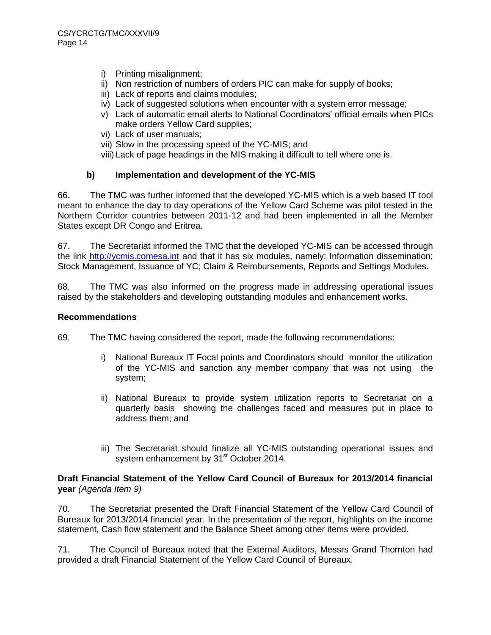- i) Printing misalignment;
- ii) Non restriction of numbers of orders PIC can make for supply of books;
- iii) Lack of reports and claims modules;
- iv) Lack of suggested solutions when encounter with a system error message;
- v) Lack of automatic email alerts to National Coordinators' official emails when PICs make orders Yellow Card supplies;
- vi) Lack of user manuals;
- vii) Slow in the processing speed of the YC-MIS; and
- viii) Lack of page headings in the MIS making it difficult to tell where one is.

## **b) Implementation and development of the YC-MIS**

66. The TMC was further informed that the developed YC-MIS which is a web based IT tool meant to enhance the day to day operations of the Yellow Card Scheme was pilot tested in the Northern Corridor countries between 2011-12 and had been implemented in all the Member States except DR Congo and Eritrea.

67. The Secretariat informed the TMC that the developed YC-MIS can be accessed through the link [http://ycmis.comesa.int](http://ycmis.comesa.int/) and that it has six modules, namely: Information dissemination; Stock Management, Issuance of YC; Claim & Reimbursements, Reports and Settings Modules.

68. The TMC was also informed on the progress made in addressing operational issues raised by the stakeholders and developing outstanding modules and enhancement works.

#### **Recommendations**

69. The TMC having considered the report, made the following recommendations:

- i) National Bureaux IT Focal points and Coordinators should monitor the utilization of the YC-MIS and sanction any member company that was not using the system;
- ii) National Bureaux to provide system utilization reports to Secretariat on a quarterly basis showing the challenges faced and measures put in place to address them; and
- iii) The Secretariat should finalize all YC-MIS outstanding operational issues and system enhancement by 31<sup>st</sup> October 2014.

#### **Draft Financial Statement of the Yellow Card Council of Bureaux for 2013/2014 financial year** *(Agenda Item 9)*

70. The Secretariat presented the Draft Financial Statement of the Yellow Card Council of Bureaux for 2013/2014 financial year. In the presentation of the report, highlights on the income statement, Cash flow statement and the Balance Sheet among other items were provided.

71. The Council of Bureaux noted that the External Auditors, Messrs Grand Thornton had provided a draft Financial Statement of the Yellow Card Council of Bureaux.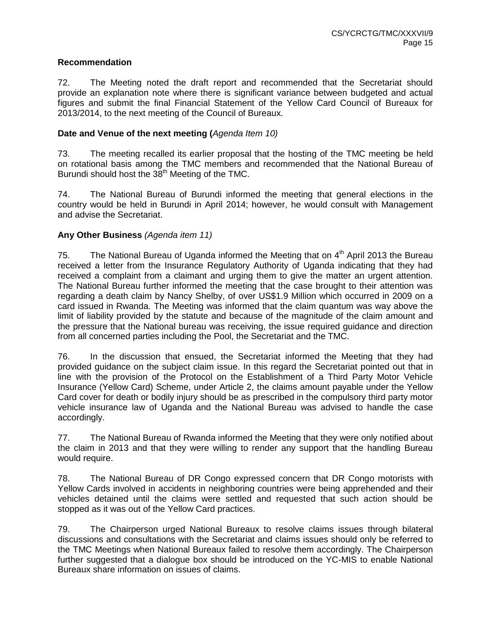#### **Recommendation**

72. The Meeting noted the draft report and recommended that the Secretariat should provide an explanation note where there is significant variance between budgeted and actual figures and submit the final Financial Statement of the Yellow Card Council of Bureaux for 2013/2014, to the next meeting of the Council of Bureaux.

#### **Date and Venue of the next meeting (***Agenda Item 10)*

73. The meeting recalled its earlier proposal that the hosting of the TMC meeting be held on rotational basis among the TMC members and recommended that the National Bureau of Burundi should host the 38<sup>th</sup> Meeting of the TMC.

74. The National Bureau of Burundi informed the meeting that general elections in the country would be held in Burundi in April 2014; however, he would consult with Management and advise the Secretariat.

## **Any Other Business** *(Agenda item 11)*

75. The National Bureau of Uganda informed the Meeting that on  $4<sup>th</sup>$  April 2013 the Bureau received a letter from the Insurance Regulatory Authority of Uganda indicating that they had received a complaint from a claimant and urging them to give the matter an urgent attention. The National Bureau further informed the meeting that the case brought to their attention was regarding a death claim by Nancy Shelby, of over US\$1.9 Million which occurred in 2009 on a card issued in Rwanda. The Meeting was informed that the claim quantum was way above the limit of liability provided by the statute and because of the magnitude of the claim amount and the pressure that the National bureau was receiving, the issue required guidance and direction from all concerned parties including the Pool, the Secretariat and the TMC.

76. In the discussion that ensued, the Secretariat informed the Meeting that they had provided guidance on the subject claim issue. In this regard the Secretariat pointed out that in line with the provision of the Protocol on the Establishment of a Third Party Motor Vehicle Insurance (Yellow Card) Scheme, under Article 2, the claims amount payable under the Yellow Card cover for death or bodily injury should be as prescribed in the compulsory third party motor vehicle insurance law of Uganda and the National Bureau was advised to handle the case accordingly.

77. The National Bureau of Rwanda informed the Meeting that they were only notified about the claim in 2013 and that they were willing to render any support that the handling Bureau would require.

78. The National Bureau of DR Congo expressed concern that DR Congo motorists with Yellow Cards involved in accidents in neighboring countries were being apprehended and their vehicles detained until the claims were settled and requested that such action should be stopped as it was out of the Yellow Card practices.

79. The Chairperson urged National Bureaux to resolve claims issues through bilateral discussions and consultations with the Secretariat and claims issues should only be referred to the TMC Meetings when National Bureaux failed to resolve them accordingly. The Chairperson further suggested that a dialogue box should be introduced on the YC-MIS to enable National Bureaux share information on issues of claims.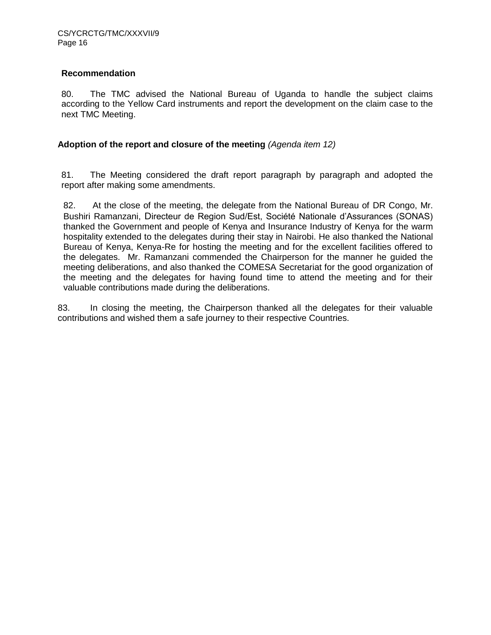## **Recommendation**

80. The TMC advised the National Bureau of Uganda to handle the subject claims according to the Yellow Card instruments and report the development on the claim case to the next TMC Meeting.

#### **Adoption of the report and closure of the meeting** *(Agenda item 12)*

81. The Meeting considered the draft report paragraph by paragraph and adopted the report after making some amendments.

82. At the close of the meeting, the delegate from the National Bureau of DR Congo, Mr. Bushiri Ramanzani, Directeur de Region Sud/Est, Société Nationale d'Assurances (SONAS) thanked the Government and people of Kenya and Insurance Industry of Kenya for the warm hospitality extended to the delegates during their stay in Nairobi. He also thanked the National Bureau of Kenya, Kenya-Re for hosting the meeting and for the excellent facilities offered to the delegates. Mr. Ramanzani commended the Chairperson for the manner he guided the meeting deliberations, and also thanked the COMESA Secretariat for the good organization of the meeting and the delegates for having found time to attend the meeting and for their valuable contributions made during the deliberations.

83. In closing the meeting, the Chairperson thanked all the delegates for their valuable contributions and wished them a safe journey to their respective Countries.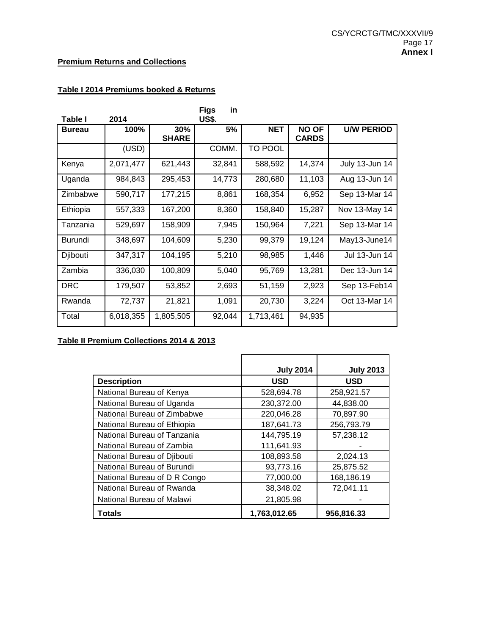## **Premium Returns and Collections**

# **Table I 2014 Premiums booked & Returns**

|                |           |              | <b>Figs</b><br>in |            |              |                   |
|----------------|-----------|--------------|-------------------|------------|--------------|-------------------|
| Table I        | 2014      |              | <b>US\$.</b>      |            |              |                   |
| <b>Bureau</b>  | 100%      | 30%          | 5%                | <b>NET</b> | <b>NO OF</b> | <b>U/W PERIOD</b> |
|                |           | <b>SHARE</b> |                   |            | <b>CARDS</b> |                   |
|                | (USD)     |              | COMM.             | TO POOL    |              |                   |
| Kenya          | 2,071,477 | 621,443      | 32,841            | 588,592    | 14,374       | July 13-Jun 14    |
| Uganda         | 984,843   | 295,453      | 14,773            | 280,680    | 11,103       | Aug 13-Jun 14     |
| Zimbabwe       | 590,717   | 177,215      | 8,861             | 168,354    | 6,952        | Sep 13-Mar 14     |
| Ethiopia       | 557,333   | 167,200      | 8,360             | 158,840    | 15,287       | Nov 13-May 14     |
| Tanzania       | 529,697   | 158,909      | 7,945             | 150,964    | 7,221        | Sep 13-Mar 14     |
| <b>Burundi</b> | 348,697   | 104,609      | 5,230             | 99,379     | 19,124       | May13-June14      |
| Djibouti       | 347,317   | 104,195      | 5,210             | 98,985     | 1,446        | Jul 13-Jun 14     |
| Zambia         | 336,030   | 100,809      | 5,040             | 95,769     | 13,281       | Dec 13-Jun 14     |
| <b>DRC</b>     | 179,507   | 53,852       | 2,693             | 51,159     | 2,923        | Sep 13-Feb14      |
| Rwanda         | 72,737    | 21,821       | 1,091             | 20,730     | 3,224        | Oct 13-Mar 14     |
| Total          | 6,018,355 | 1,805,505    | 92,044            | 1,713,461  | 94,935       |                   |

# **Table II Premium Collections 2014 & 2013**

|                              | <b>July 2014</b> | <b>July 2013</b> |
|------------------------------|------------------|------------------|
| <b>Description</b>           | <b>USD</b>       | <b>USD</b>       |
| National Bureau of Kenya     | 528,694.78       | 258,921.57       |
| National Bureau of Uganda    | 230,372.00       | 44,838.00        |
| National Bureau of Zimbabwe  | 220,046.28       | 70,897.90        |
| National Bureau of Ethiopia  | 187,641.73       | 256,793.79       |
| National Bureau of Tanzania  | 144,795.19       | 57,238.12        |
| National Bureau of Zambia    | 111,641.93       |                  |
| National Bureau of Djibouti  | 108,893.58       | 2,024.13         |
| National Bureau of Burundi   | 93,773.16        | 25,875.52        |
| National Bureau of D R Congo | 77,000.00        | 168,186.19       |
| National Bureau of Rwanda    | 38,348.02        | 72,041.11        |
| National Bureau of Malawi    | 21,805.98        |                  |
| Totals                       | 1,763,012.65     | 956.816.33       |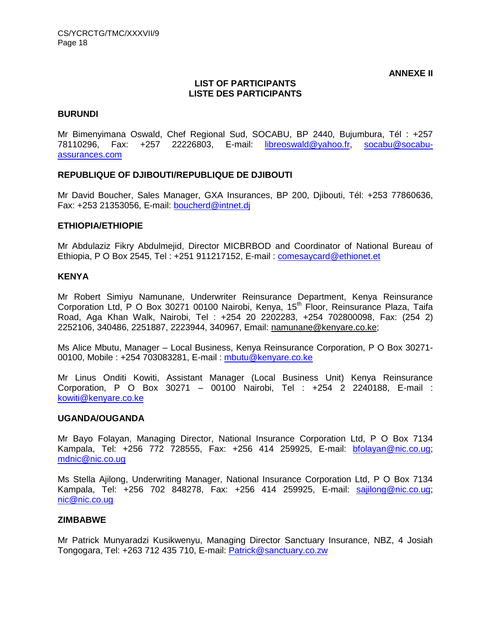**ANNEXE II**

#### **LIST OF PARTICIPANTS LISTE DES PARTICIPANTS**

#### **BURUNDI**

Mr Bimenyimana Oswald, Chef Regional Sud, SOCABU, BP 2440, Bujumbura, Tél : +257 78110296, Fax: +257 22226803, E-mail: [libreoswald@yahoo.fr,](mailto:libreoswald@yahoo.fr) [socabu@socabu](mailto:socabu@socabu-assurances.com)[assurances.com](mailto:socabu@socabu-assurances.com)

#### **REPUBLIQUE OF DJIBOUTI/REPUBLIQUE DE DJIBOUTI**

Mr David Boucher, Sales Manager, GXA Insurances, BP 200, Djibouti, Tél: +253 77860636, Fax: +253 21353056, E-mail: [boucherd@intnet.dj](mailto:boucherd@intnet.dj)

#### **ETHIOPIA/ETHIOPIE**

Mr Abdulaziz Fikry Abdulmejid, Director MICBRBOD and Coordinator of National Bureau of Ethiopia, P O Box 2545, Tel : +251 911217152, E-mail : [comesaycard@ethionet.et](mailto:comesaycard@ethionet.et)

#### **KENYA**

Mr Robert Simiyu Namunane, Underwriter Reinsurance Department, Kenya Reinsurance Corporation Ltd, P O Box 30271 00100 Nairobi, Kenya, 15<sup>th</sup> Floor, Reinsurance Plaza, Taifa Road, Aga Khan Walk, Nairobi, Tel : +254 20 2202283, +254 702800098, Fax: (254 2) 2252106, 340486, 2251887, 2223944, 340967, Email: namunan[e@kenyare.co.ke;](mailto:m@kenyare.co.ke)

Ms Alice Mbutu, Manager – Local Business, Kenya Reinsurance Corporation, P O Box 30271- 00100, Mobile : +254 703083281, E-mail : [mbutu@kenyare.co.ke](mailto:mbutu@kenyare.co.ke)

Mr Linus Onditi Kowiti, Assistant Manager (Local Business Unit) Kenya Reinsurance Corporation, P O Box 30271 – 00100 Nairobi, Tel : +254 2 2240188, E-mail : [kowiti@kenyare.co.ke](mailto:kowiti@kenyare.co.ke)

#### **UGANDA/OUGANDA**

Mr Bayo Folayan, Managing Director, National Insurance Corporation Ltd, P O Box 7134 Kampala, Tel: +256 772 728555, Fax: +256 414 259925, E-mail: **bfolayan@nic.co.ug**; [mdnic@nic.co.ug](mailto:mdnic@nic.co.ug)

Ms Stella Ajilong, Underwriting Manager, National Insurance Corporation Ltd, P O Box 7134 Kampala, Tel: +256 702 848278, Fax: +256 414 259925, E-mail: [sajilong@nic.co.ug;](mailto:sajilong@nic.co.ug) [nic@nic.co.ug](mailto:nic@nic.co.ug)

#### **ZIMBABWE**

Mr Patrick Munyaradzi Kusikwenyu, Managing Director Sanctuary Insurance, NBZ, 4 Josiah Tongogara, Tel: +263 712 435 710, E-mail: [Patrick@sanctuary.co.zw](mailto:Patrick@sanctuary.co.zw)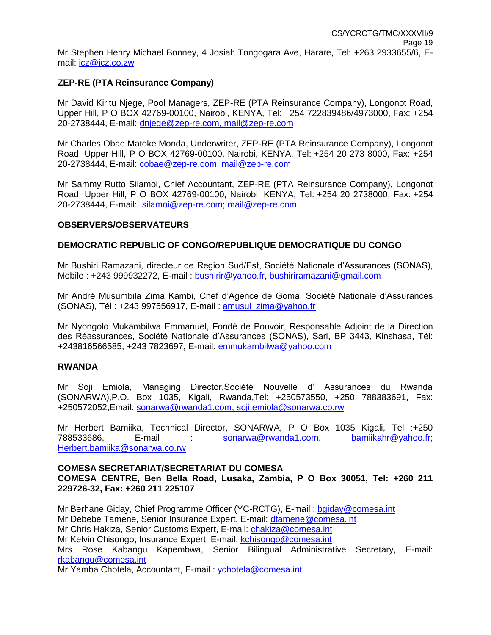## **ZEP-RE (PTA Reinsurance Company)**

Mr David Kiritu Njege, Pool Managers, ZEP-RE (PTA Reinsurance Company), Longonot Road, Upper Hill, P O BOX 42769-00100, Nairobi, KENYA, Tel: +254 722839486/4973000, Fax: +254 20-2738444, E-mail: [dnjege@zep-re.com,](mailto:dnjege@zep-re.com) [mail@zep-re.com](mailto:mail@zep-re.com)

Mr Charles Obae Matoke Monda, Underwriter, ZEP-RE (PTA Reinsurance Company), Longonot Road, Upper Hill, P O BOX 42769-00100, Nairobi, KENYA, Tel: +254 20 273 8000, Fax: +254 20-2738444, E-mail: [cobae@zep-re.com,](mailto:cobae@zep-re.com) [mail@zep-re.com](mailto:mail@zep-re.com)

Mr Sammy Rutto Silamoi, Chief Accountant, ZEP-RE (PTA Reinsurance Company), Longonot Road, Upper Hill, P O BOX 42769-00100, Nairobi, KENYA, Tel: +254 20 2738000, Fax: +254 20-2738444, E-mail: [silamoi@zep-re.com;](mailto:silamoi@zep-re.com) [mail@zep-re.com](mailto:mail@zep-re.com)

#### **OBSERVERS/OBSERVATEURS**

#### **DEMOCRATIC REPUBLIC OF CONGO/REPUBLIQUE DEMOCRATIQUE DU CONGO**

Mr Bushiri Ramazani, directeur de Region Sud/Est, Société Nationale d'Assurances (SONAS), Mobile : +243 999932272, E-mail : [bushirir@yahoo.fr,](mailto:bushirir@yahoo.fr) [bushiriramazani@gmail.com](mailto:bushiriramazani@gmail.com)

Mr André Musumbila Zima Kambi, Chef d'Agence de Goma, Société Nationale d'Assurances (SONAS), Tél : +243 997556917, E-mail : [amusul\\_zima@yahoo.fr](mailto:amusul_zima@yahoo.fr)

Mr Nyongolo Mukambilwa Emmanuel, Fondé de Pouvoir, Responsable Adjoint de la Direction des Réassurances, Société Nationale d'Assurances (SONAS), Sarl, BP 3443, Kinshasa, Tél: +243816566585, +243 7823697, E-mail: [emmukambilwa@yahoo.com](mailto:emmukambilwa@yahoo.com)

#### **RWANDA**

Mr Soji Emiola, Managing Director,Société Nouvelle d' Assurances du Rwanda (SONARWA),P.O. Box 1035, Kigali, Rwanda,Tel: +250573550, +250 788383691, Fax: +250572052,Email: [sonarwa@rwanda1.com,](mailto:sonarwa@rwanda1.com) [soji.emiola@sonarwa.co.rw](mailto:soji.emiola@sonarwa.co.rw)

Mr Herbert Bamiika, Technical Director, SONARWA, P O Box 1035 Kigali, Tel :+250 788533686, E-mail : [sonarwa@rwanda1.com,](mailto:sonarwa@rwanda1.com) [bamiikahr@yahoo.fr;](mailto:bamiikahr@yahoo.fr) [Herbert.bamiika@sonarwa.co.rw](mailto:Herbert.bamiika@sonarwa.co.rw)

#### **COMESA SECRETARIAT/SECRETARIAT DU COMESA**

## **COMESA CENTRE, Ben Bella Road, Lusaka, Zambia, P O Box 30051, Tel: +260 211 229726-32, Fax: +260 211 225107**

Mr Berhane Giday, Chief Programme Officer (YC-RCTG), E-mail : [bgiday@comesa.int](mailto:bgiday@comesa.int) Mr Debebe Tamene, Senior Insurance Expert, E-mail: [dtamene@comesa.int](mailto:dtamene@comesa.int) Mr Chris Hakiza, Senior Customs Expert, E-mail: [chakiza@comesa.int](mailto:chakiza@comesa.int) Mr Kelvin Chisongo, Insurance Expert, E-mail: [kchisongo@comesa.int](mailto:kchisongo@comesa.int) Mrs Rose Kabangu Kapembwa, Senior Bilingual Administrative Secretary, E-mail: [rkabangu@comesa.int](mailto:rkabangu@comesa.int) Mr Yamba Chotela, Accountant, E-mail : [ychotela@comesa.int](mailto:ychotela@comesa.int)